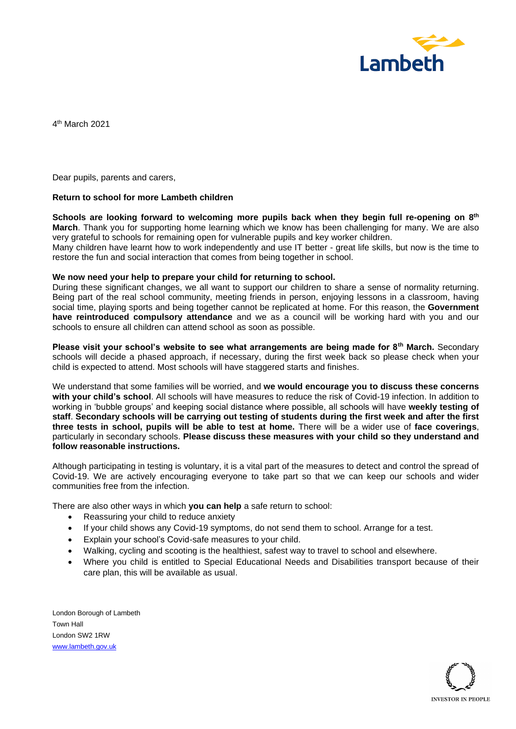

4 th March 2021

Dear pupils, parents and carers,

## **Return to school for more Lambeth children**

**Schools are looking forward to welcoming more pupils back when they begin full re-opening on 8th March**. Thank you for supporting home learning which we know has been challenging for many. We are also very grateful to schools for remaining open for vulnerable pupils and key worker children.

Many children have learnt how to work independently and use IT better - great life skills, but now is the time to restore the fun and social interaction that comes from being together in school.

## **We now need your help to prepare your child for returning to school.**

During these significant changes, we all want to support our children to share a sense of normality returning. Being part of the real school community, meeting friends in person, enjoying lessons in a classroom, having social time, playing sports and being together cannot be replicated at home. For this reason, the **Government have reintroduced compulsory attendance** and we as a council will be working hard with you and our schools to ensure all children can attend school as soon as possible.

**Please visit your school's website to see what arrangements are being made for 8th March.** Secondary schools will decide a phased approach, if necessary, during the first week back so please check when your child is expected to attend. Most schools will have staggered starts and finishes.

We understand that some families will be worried, and **we would encourage you to discuss these concerns with your child's school**. All schools will have measures to reduce the risk of Covid-19 infection. In addition to working in 'bubble groups' and keeping social distance where possible, all schools will have **weekly testing of staff**. **Secondary schools will be carrying out testing of students during the first week and after the first three tests in school, pupils will be able to test at home.** There will be a wider use of **face coverings**, particularly in secondary schools. **Please discuss these measures with your child so they understand and follow reasonable instructions.** 

Although participating in testing is voluntary, it is a vital part of the measures to detect and control the spread of Covid-19. We are actively encouraging everyone to take part so that we can keep our schools and wider communities free from the infection.

There are also other ways in which **you can help** a safe return to school:

- Reassuring your child to reduce anxiety
- If your child shows any Covid-19 symptoms, do not send them to school. Arrange for a test.
- Explain your school's Covid-safe measures to your child.
- Walking, cycling and scooting is the healthiest, safest way to travel to school and elsewhere.
- Where you child is entitled to Special Educational Needs and Disabilities transport because of their care plan, this will be available as usual.

London Borough of Lambeth Town Hall London SW2 1RW [www.lambeth.gov.uk](http://www.lambeth.gov.uk/)

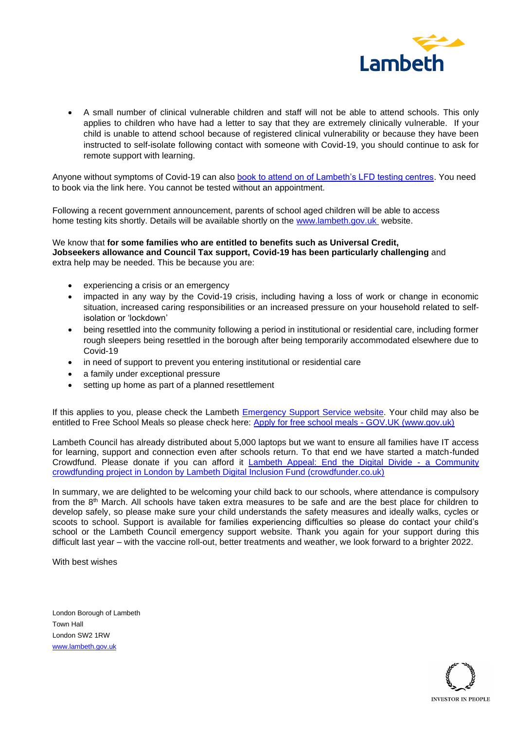

• A small number of clinical vulnerable children and staff will not be able to attend schools. This only applies to children who have had a letter to say that they are extremely clinically vulnerable. If your child is unable to attend school because of registered clinical vulnerability or because they have been instructed to self-isolate following contact with someone with Covid-19, you should continue to ask for remote support with learning.

Anyone without symptoms of Covid-19 can also [book to attend on of Lambeth's LFD testing centres.](https://beta.lambeth.gov.uk/coronavirus-covid-19/booking-coronavirus-test) You need to book via the link here. You cannot be tested without an appointment.

Following a recent government announcement, parents of school aged children will be able to access home testing kits shortly. Details will be available shortly on the [www.lambeth.gov.uk](http://www.lambeth.gov.uk/) website.

## We know that **for some families who are entitled to benefits such as Universal Credit, Jobseekers allowance and Council Tax support, Covid-19 has been particularly challenging** and extra help may be needed. This be because you are:

- experiencing a crisis or an emergency
- impacted in any way by the Covid-19 crisis, including having a loss of work or change in economic situation, increased caring responsibilities or an increased pressure on your household related to selfisolation or 'lockdown'
- being resettled into the community following a period in institutional or residential care, including former rough sleepers being resettled in the borough after being temporarily accommodated elsewhere due to Covid-19
- in need of support to prevent you entering institutional or residential care
- a family under exceptional pressure
- setting up home as part of a planned resettlement

If this applies to you, please check the Lambeth [Emergency Support Service website.](https://beta.lambeth.gov.uk/benefits-and-financial-support/get-extra-support/emergency-support-scheme-ess/who-can-use-scheme) Your child may also be entitled to Free School Meals so please check here: [Apply for free school meals -](https://www.gov.uk/apply-free-school-meals) GOV.UK (www.gov.uk)

Lambeth Council has already distributed about 5,000 laptops but we want to ensure all families have IT access for learning, support and connection even after schools return. To that end we have started a match-funded Crowdfund. Please donate if you can afford it **[Lambeth Appeal: End the Digital Divide -](https://www.crowdfunder.co.uk/lambeth-digital-inclusion-fund) a Community** [crowdfunding project in London by Lambeth Digital Inclusion Fund \(crowdfunder.co.uk\)](https://www.crowdfunder.co.uk/lambeth-digital-inclusion-fund)

In summary, we are delighted to be welcoming your child back to our schools, where attendance is compulsory from the 8<sup>th</sup> March. All schools have taken extra measures to be safe and are the best place for children to develop safely, so please make sure your child understands the safety measures and ideally walks, cycles or scoots to school. Support is available for families experiencing difficulties so please do contact your child's school or the Lambeth Council emergency support website. Thank you again for your support during this difficult last year – with the vaccine roll-out, better treatments and weather, we look forward to a brighter 2022.

With best wishes

London Borough of Lambeth Town Hall London SW2 1RW [www.lambeth.gov.uk](http://www.lambeth.gov.uk/)